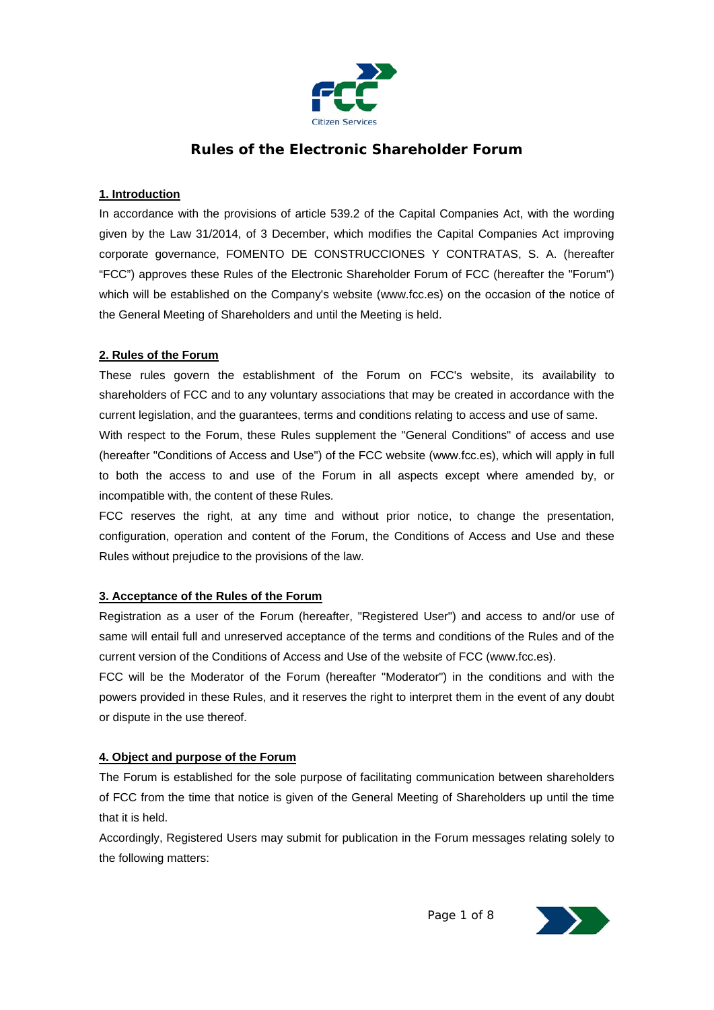

# **Rules of the Electronic Shareholder Forum**

#### **1. Introduction**

In accordance with the provisions of article 539.2 of the Capital Companies Act, with the wording given by the Law 31/2014, of 3 December, which modifies the Capital Companies Act improving corporate governance, FOMENTO DE CONSTRUCCIONES Y CONTRATAS, S. A. (hereafter "FCC") approves these Rules of the Electronic Shareholder Forum of FCC (hereafter the "Forum") which will be established on the Company's website (www.fcc.es) on the occasion of the notice of the General Meeting of Shareholders and until the Meeting is held.

#### **2. Rules of the Forum**

These rules govern the establishment of the Forum on FCC's website, its availability to shareholders of FCC and to any voluntary associations that may be created in accordance with the current legislation, and the guarantees, terms and conditions relating to access and use of same. With respect to the Forum, these Rules supplement the "General Conditions" of access and use (hereafter "Conditions of Access and Use") of the FCC website (www.fcc.es), which will apply in full

to both the access to and use of the Forum in all aspects except where amended by, or incompatible with, the content of these Rules.

FCC reserves the right, at any time and without prior notice, to change the presentation, configuration, operation and content of the Forum, the Conditions of Access and Use and these Rules without prejudice to the provisions of the law.

# **3. Acceptance of the Rules of the Forum**

Registration as a user of the Forum (hereafter, "Registered User") and access to and/or use of same will entail full and unreserved acceptance of the terms and conditions of the Rules and of the current version of the Conditions of Access and Use of the website of FCC (www.fcc.es).

FCC will be the Moderator of the Forum (hereafter "Moderator") in the conditions and with the powers provided in these Rules, and it reserves the right to interpret them in the event of any doubt or dispute in the use thereof.

#### **4. Object and purpose of the Forum**

The Forum is established for the sole purpose of facilitating communication between shareholders of FCC from the time that notice is given of the General Meeting of Shareholders up until the time that it is held.

Accordingly, Registered Users may submit for publication in the Forum messages relating solely to the following matters:

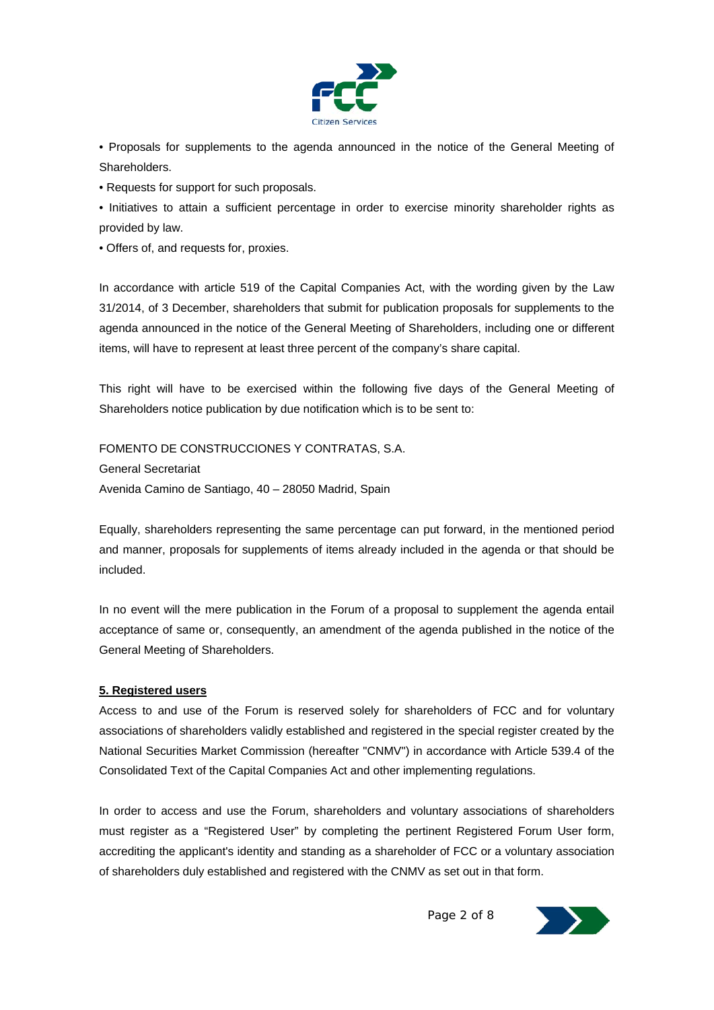

• Proposals for supplements to the agenda announced in the notice of the General Meeting of Shareholders.

• Requests for support for such proposals.

• Initiatives to attain a sufficient percentage in order to exercise minority shareholder rights as provided by law.

• Offers of, and requests for, proxies.

In accordance with article 519 of the Capital Companies Act, with the wording given by the Law 31/2014, of 3 December, shareholders that submit for publication proposals for supplements to the agenda announced in the notice of the General Meeting of Shareholders, including one or different items, will have to represent at least three percent of the company's share capital.

This right will have to be exercised within the following five days of the General Meeting of Shareholders notice publication by due notification which is to be sent to:

FOMENTO DE CONSTRUCCIONES Y CONTRATAS, S.A. General Secretariat Avenida Camino de Santiago, 40 – 28050 Madrid, Spain

Equally, shareholders representing the same percentage can put forward, in the mentioned period and manner, proposals for supplements of items already included in the agenda or that should be included.

In no event will the mere publication in the Forum of a proposal to supplement the agenda entail acceptance of same or, consequently, an amendment of the agenda published in the notice of the General Meeting of Shareholders.

# **5. Registered users**

Access to and use of the Forum is reserved solely for shareholders of FCC and for voluntary associations of shareholders validly established and registered in the special register created by the National Securities Market Commission (hereafter "CNMV") in accordance with Article 539.4 of the Consolidated Text of the Capital Companies Act and other implementing regulations.

In order to access and use the Forum, shareholders and voluntary associations of shareholders must register as a "Registered User" by completing the pertinent Registered Forum User form, accrediting the applicant's identity and standing as a shareholder of FCC or a voluntary association of shareholders duly established and registered with the CNMV as set out in that form.

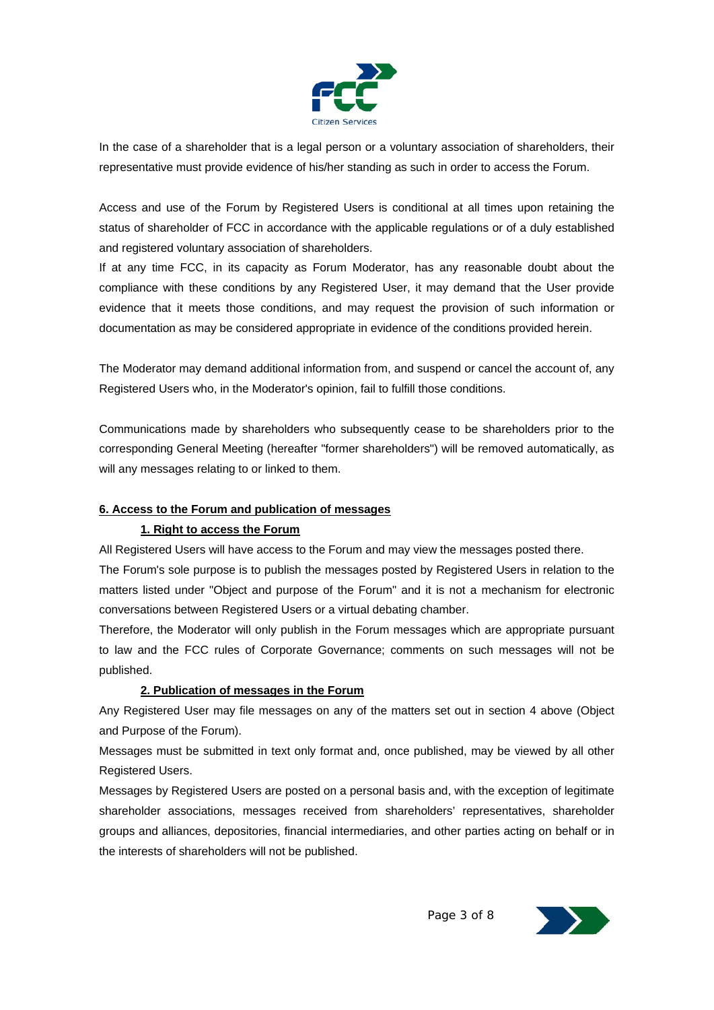

In the case of a shareholder that is a legal person or a voluntary association of shareholders, their representative must provide evidence of his/her standing as such in order to access the Forum.

Access and use of the Forum by Registered Users is conditional at all times upon retaining the status of shareholder of FCC in accordance with the applicable regulations or of a duly established and registered voluntary association of shareholders.

If at any time FCC, in its capacity as Forum Moderator, has any reasonable doubt about the compliance with these conditions by any Registered User, it may demand that the User provide evidence that it meets those conditions, and may request the provision of such information or documentation as may be considered appropriate in evidence of the conditions provided herein.

The Moderator may demand additional information from, and suspend or cancel the account of, any Registered Users who, in the Moderator's opinion, fail to fulfill those conditions.

Communications made by shareholders who subsequently cease to be shareholders prior to the corresponding General Meeting (hereafter "former shareholders") will be removed automatically, as will any messages relating to or linked to them.

# **6. Access to the Forum and publication of messages**

# **1. Right to access the Forum**

All Registered Users will have access to the Forum and may view the messages posted there. The Forum's sole purpose is to publish the messages posted by Registered Users in relation to the matters listed under "Object and purpose of the Forum" and it is not a mechanism for electronic conversations between Registered Users or a virtual debating chamber.

Therefore, the Moderator will only publish in the Forum messages which are appropriate pursuant to law and the FCC rules of Corporate Governance; comments on such messages will not be published.

# **2. Publication of messages in the Forum**

Any Registered User may file messages on any of the matters set out in section 4 above (Object and Purpose of the Forum).

Messages must be submitted in text only format and, once published, may be viewed by all other Registered Users.

Messages by Registered Users are posted on a personal basis and, with the exception of legitimate shareholder associations, messages received from shareholders' representatives, shareholder groups and alliances, depositories, financial intermediaries, and other parties acting on behalf or in the interests of shareholders will not be published.

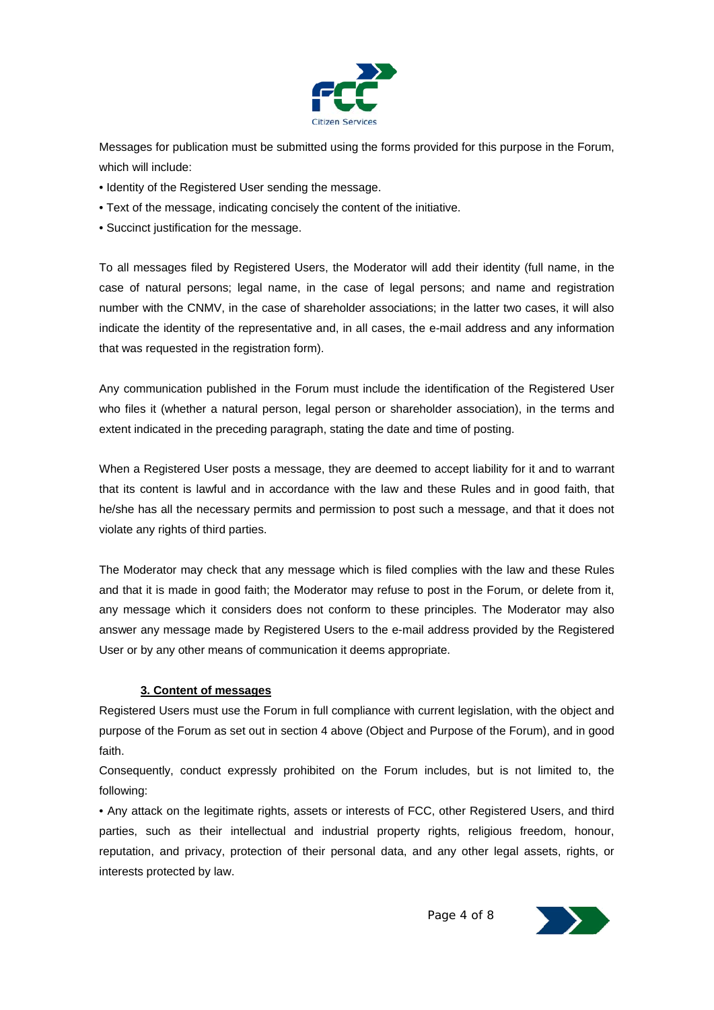

Messages for publication must be submitted using the forms provided for this purpose in the Forum, which will include:

- Identity of the Registered User sending the message.
- Text of the message, indicating concisely the content of the initiative.
- Succinct justification for the message.

To all messages filed by Registered Users, the Moderator will add their identity (full name, in the case of natural persons; legal name, in the case of legal persons; and name and registration number with the CNMV, in the case of shareholder associations; in the latter two cases, it will also indicate the identity of the representative and, in all cases, the e-mail address and any information that was requested in the registration form).

Any communication published in the Forum must include the identification of the Registered User who files it (whether a natural person, legal person or shareholder association), in the terms and extent indicated in the preceding paragraph, stating the date and time of posting.

When a Registered User posts a message, they are deemed to accept liability for it and to warrant that its content is lawful and in accordance with the law and these Rules and in good faith, that he/she has all the necessary permits and permission to post such a message, and that it does not violate any rights of third parties.

The Moderator may check that any message which is filed complies with the law and these Rules and that it is made in good faith; the Moderator may refuse to post in the Forum, or delete from it, any message which it considers does not conform to these principles. The Moderator may also answer any message made by Registered Users to the e-mail address provided by the Registered User or by any other means of communication it deems appropriate.

#### **3. Content of messages**

Registered Users must use the Forum in full compliance with current legislation, with the object and purpose of the Forum as set out in section 4 above (Object and Purpose of the Forum), and in good faith.

Consequently, conduct expressly prohibited on the Forum includes, but is not limited to, the following:

• Any attack on the legitimate rights, assets or interests of FCC, other Registered Users, and third parties, such as their intellectual and industrial property rights, religious freedom, honour, reputation, and privacy, protection of their personal data, and any other legal assets, rights, or interests protected by law.

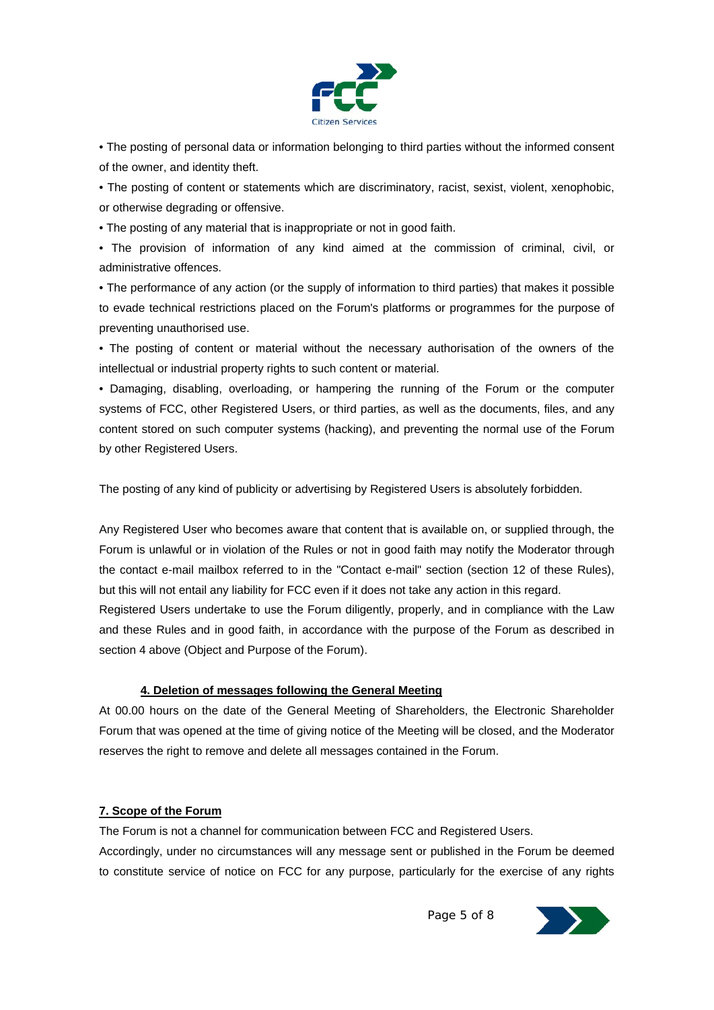

• The posting of personal data or information belonging to third parties without the informed consent of the owner, and identity theft.

• The posting of content or statements which are discriminatory, racist, sexist, violent, xenophobic, or otherwise degrading or offensive.

• The posting of any material that is inappropriate or not in good faith.

• The provision of information of any kind aimed at the commission of criminal, civil, or administrative offences.

• The performance of any action (or the supply of information to third parties) that makes it possible to evade technical restrictions placed on the Forum's platforms or programmes for the purpose of preventing unauthorised use.

• The posting of content or material without the necessary authorisation of the owners of the intellectual or industrial property rights to such content or material.

• Damaging, disabling, overloading, or hampering the running of the Forum or the computer systems of FCC, other Registered Users, or third parties, as well as the documents, files, and any content stored on such computer systems (hacking), and preventing the normal use of the Forum by other Registered Users.

The posting of any kind of publicity or advertising by Registered Users is absolutely forbidden.

Any Registered User who becomes aware that content that is available on, or supplied through, the Forum is unlawful or in violation of the Rules or not in good faith may notify the Moderator through the contact e-mail mailbox referred to in the "Contact e-mail" section (section 12 of these Rules), but this will not entail any liability for FCC even if it does not take any action in this regard. Registered Users undertake to use the Forum diligently, properly, and in compliance with the Law and these Rules and in good faith, in accordance with the purpose of the Forum as described in section 4 above (Object and Purpose of the Forum).

# **4. Deletion of messages following the General Meeting**

At 00.00 hours on the date of the General Meeting of Shareholders, the Electronic Shareholder Forum that was opened at the time of giving notice of the Meeting will be closed, and the Moderator reserves the right to remove and delete all messages contained in the Forum.

# **7. Scope of the Forum**

The Forum is not a channel for communication between FCC and Registered Users. Accordingly, under no circumstances will any message sent or published in the Forum be deemed to constitute service of notice on FCC for any purpose, particularly for the exercise of any rights

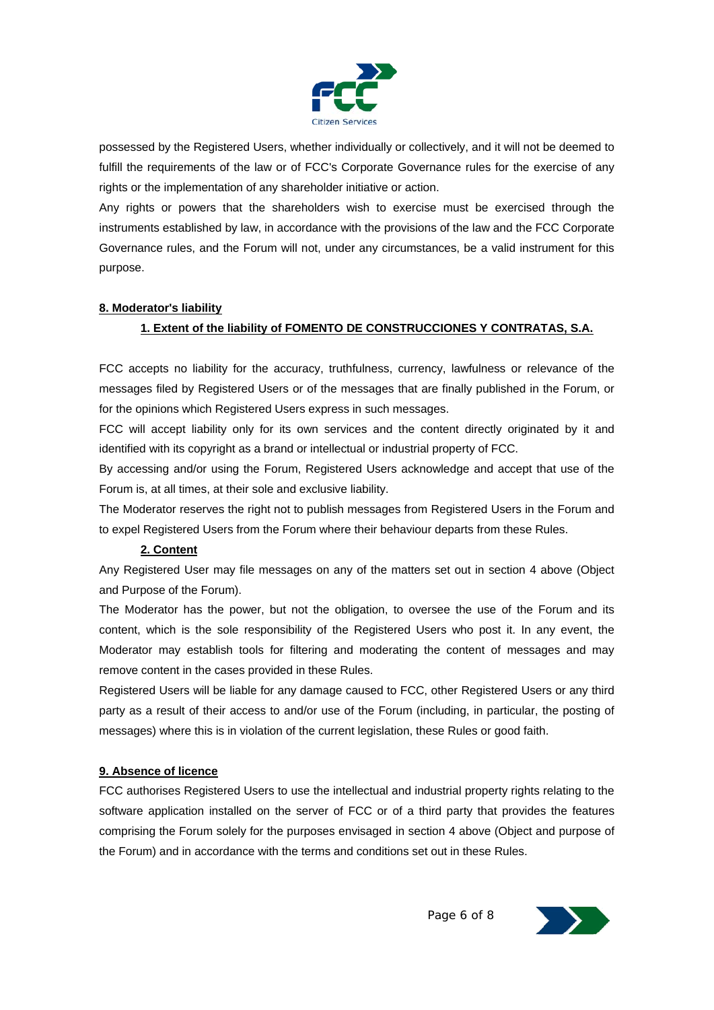

possessed by the Registered Users, whether individually or collectively, and it will not be deemed to fulfill the requirements of the law or of FCC's Corporate Governance rules for the exercise of any rights or the implementation of any shareholder initiative or action.

Any rights or powers that the shareholders wish to exercise must be exercised through the instruments established by law, in accordance with the provisions of the law and the FCC Corporate Governance rules, and the Forum will not, under any circumstances, be a valid instrument for this purpose.

#### **8. Moderator's liability**

# **1. Extent of the liability of FOMENTO DE CONSTRUCCIONES Y CONTRATAS, S.A.**

FCC accepts no liability for the accuracy, truthfulness, currency, lawfulness or relevance of the messages filed by Registered Users or of the messages that are finally published in the Forum, or for the opinions which Registered Users express in such messages.

FCC will accept liability only for its own services and the content directly originated by it and identified with its copyright as a brand or intellectual or industrial property of FCC.

By accessing and/or using the Forum, Registered Users acknowledge and accept that use of the Forum is, at all times, at their sole and exclusive liability.

The Moderator reserves the right not to publish messages from Registered Users in the Forum and to expel Registered Users from the Forum where their behaviour departs from these Rules.

# **2. Content**

Any Registered User may file messages on any of the matters set out in section 4 above (Object and Purpose of the Forum).

The Moderator has the power, but not the obligation, to oversee the use of the Forum and its content, which is the sole responsibility of the Registered Users who post it. In any event, the Moderator may establish tools for filtering and moderating the content of messages and may remove content in the cases provided in these Rules.

Registered Users will be liable for any damage caused to FCC, other Registered Users or any third party as a result of their access to and/or use of the Forum (including, in particular, the posting of messages) where this is in violation of the current legislation, these Rules or good faith.

#### **9. Absence of licence**

FCC authorises Registered Users to use the intellectual and industrial property rights relating to the software application installed on the server of FCC or of a third party that provides the features comprising the Forum solely for the purposes envisaged in section 4 above (Object and purpose of the Forum) and in accordance with the terms and conditions set out in these Rules.

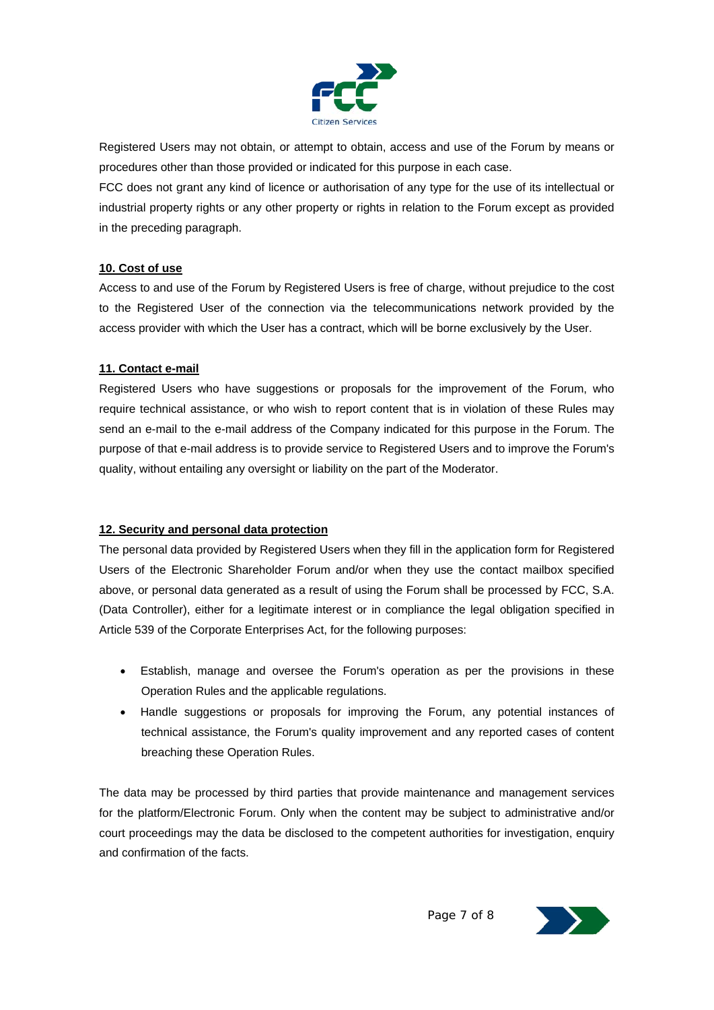

Registered Users may not obtain, or attempt to obtain, access and use of the Forum by means or procedures other than those provided or indicated for this purpose in each case.

FCC does not grant any kind of licence or authorisation of any type for the use of its intellectual or industrial property rights or any other property or rights in relation to the Forum except as provided in the preceding paragraph.

#### **10. Cost of use**

Access to and use of the Forum by Registered Users is free of charge, without prejudice to the cost to the Registered User of the connection via the telecommunications network provided by the access provider with which the User has a contract, which will be borne exclusively by the User.

#### **11. Contact e-mail**

Registered Users who have suggestions or proposals for the improvement of the Forum, who require technical assistance, or who wish to report content that is in violation of these Rules may send an e-mail to the e-mail address of the Company indicated for this purpose in the Forum. The purpose of that e-mail address is to provide service to Registered Users and to improve the Forum's quality, without entailing any oversight or liability on the part of the Moderator.

# **12. Security and personal data protection**

The personal data provided by Registered Users when they fill in the application form for Registered Users of the Electronic Shareholder Forum and/or when they use the contact mailbox specified above, or personal data generated as a result of using the Forum shall be processed by FCC, S.A. (Data Controller), either for a legitimate interest or in compliance the legal obligation specified in Article 539 of the Corporate Enterprises Act, for the following purposes:

- Establish, manage and oversee the Forum's operation as per the provisions in these Operation Rules and the applicable regulations.
- Handle suggestions or proposals for improving the Forum, any potential instances of technical assistance, the Forum's quality improvement and any reported cases of content breaching these Operation Rules.

The data may be processed by third parties that provide maintenance and management services for the platform/Electronic Forum. Only when the content may be subject to administrative and/or court proceedings may the data be disclosed to the competent authorities for investigation, enquiry and confirmation of the facts.